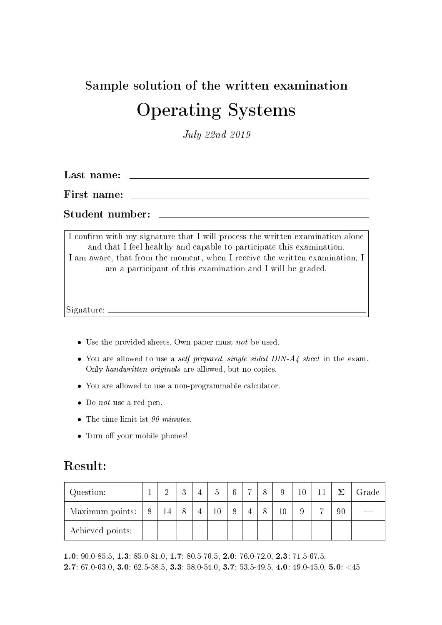# Sample solution of the written examination Operating Systems

July 22nd 2019

Last name:

First name:

Student number:

I confirm with my signature that I will process the written examination alone and that I feel healthy and capable to participate this examination. I am aware, that from the moment, when I receive the written examination, I am a participant of this examination and I will be graded.

Signature:

- Use the provided sheets. Own paper must not be used.
- You are allowed to use a self prepared, single sided DIN-A4 sheet in the exam. Only handwritten originals are allowed, but no copies.
- You are allowed to use a non-programmable calculator.
- Do *not* use a red pen.
- The time limit ist 90 minutes.
- Turn off your mobile phones!

#### Result:

| Question:        |   | $\overline{2}$ | 2<br>$\cdot$ | 5      | $6\phantom{.}6$ | $\overline{ }$ | 8 | $\Omega$ | 10 | 11 | 7  | Grade |
|------------------|---|----------------|--------------|--------|-----------------|----------------|---|----------|----|----|----|-------|
| Maximum points:  | 8 | 14             | 8            | $10\,$ | 8               |                | 8 | $10\,$   |    | −  | 90 |       |
| Achieved points: |   |                |              |        |                 |                |   |          |    |    |    |       |

1.0: 90.0-85.5, 1.3: 85.0-81.0, 1.7: 80.5-76.5, 2.0: 76.0-72.0, 2.3: 71.5-67.5, **2.7**:  $67.0-63.0$ , **3.0**:  $62.5-58.5$ , **3.3**:  $58.0-54.0$ , **3.7**:  $53.5-49.5$ , **4.0**:  $49.0-45.0$ , **5.0**:  $\langle 45 \rangle$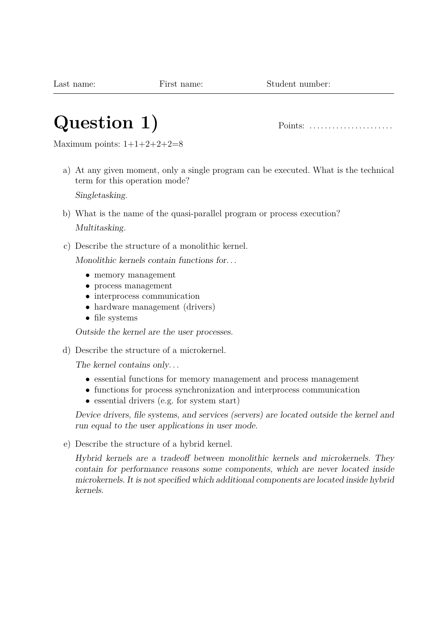# **Question 1)** Points: . . . . . . . . . . . . . . . . . . . . . .

Maximum points:  $1+1+2+2+2=8$ 

a) At any given moment, only a single program can be executed. What is the technical term for this operation mode?

Singletasking.

- b) What is the name of the quasi-parallel program or process execution? Multitasking.
- c) Describe the structure of a monolithic kernel.

Monolithic kernels contain functions for. . .

- memory management
- process management
- interprocess communication
- hardware management (drivers)
- file systems

Outside the kernel are the user processes.

d) Describe the structure of a microkernel.

The kernel contains only...

- essential functions for memory management and process management
- functions for process synchronization and interprocess communication
- essential drivers (e.g. for system start)

Device drivers, file systems, and services (servers) are located outside the kernel and run equal to the user applications in user mode.

e) Describe the structure of a hybrid kernel.

Hybrid kernels are a tradeoff between monolithic kernels and microkernels. They contain for performance reasons some components, which are never located inside microkernels. It is not specified which additional components are located inside hybrid kernels.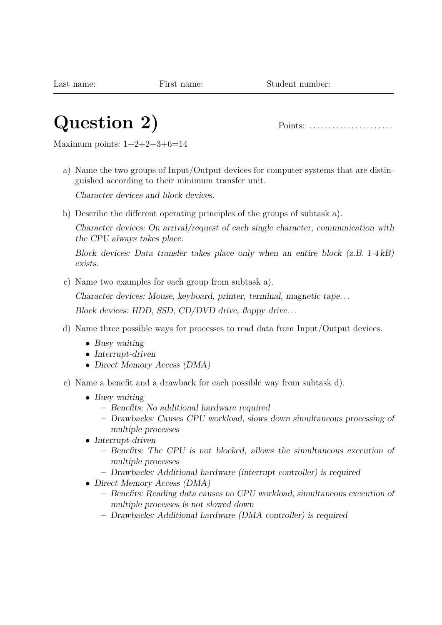# **Question 2)** Points: . . . . . . . . . . . . . . . . . . . . . .

Maximum points:  $1+2+2+3+6=14$ 

a) Name the two groups of Input/Output devices for computer systems that are distinguished according to their minimum transfer unit.

Character devices and block devices.

b) Describe the different operating principles of the groups of subtask a).

Character devices: On arrival/request of each single character, communication with the CPU always takes place.

Block devices: Data transfer takes place only when an entire block (z.B. 1-4 kB) exists.

c) Name two examples for each group from subtask a).

Character devices: Mouse, keyboard, printer, terminal, magnetic tape. . .

Block devices: HDD, SSD, CD/DVD drive, floppy drive...

- d) Name three possible ways for processes to read data from Input/Output devices.
	- Busy waiting
	- Interrupt-driven
	- Direct Memory Access (DMA)
- e) Name a benefit and a drawback for each possible way from subtask d).
	- Busy waiting
		- **–** Benefits: No additional hardware required
		- **–** Drawbacks: Causes CPU workload, slows down simultaneous processing of multiple processes
	- Interrupt-driven
		- **–** Benefits: The CPU is not blocked, allows the simultaneous execution of multiple processes
		- **–** Drawbacks: Additional hardware (interrupt controller) is required
	- Direct Memory Access (DMA)
		- **–** Benefits: Reading data causes no CPU workload, simultaneous execution of multiple processes is not slowed down
		- **–** Drawbacks: Additional hardware (DMA controller) is required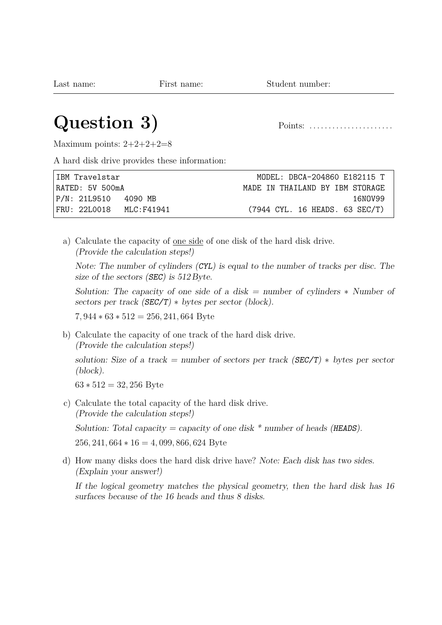#### **Question 3)** Points: . . . . . . . . . . . . . . . . . . . . . .

Maximum points:  $2+2+2+2=8$ 

A hard disk drive provides these information:

| IBM Travelstar          | MODEL: DBCA-204860 E182115 T    |
|-------------------------|---------------------------------|
| RATED: 5V 500mA         | MADE IN THATLAND BY TBM STORAGE |
| P/N: 21L9510 - 4090 MB  | 16NOV99                         |
| FRU: 22L0018 MLC:F41941 | (7944 CYL. 16 HEADS. 63 SEC/T)  |

a) Calculate the capacity of one side of one disk of the hard disk drive. (Provide the calculation steps!)

Note: The number of cylinders (CYL) is equal to the number of tracks per disc. The size of the sectors (SEC) is  $512$  Byte.

Solution: The capacity of one side of a disk = number of cylinders  $\ast$  Number of sectors per track  $(SEC/T) * bytes per sector (block).$ 

7*,* 944 ∗ 63 ∗ 512 = 256*,* 241*,* 664 Byte

b) Calculate the capacity of one track of the hard disk drive. (Provide the calculation steps!)

solution: Size of a track = number of sectors per track ( $SEC/T$ )  $*$  bytes per sector (block).

63 ∗ 512 = 32*,* 256 Byte

c) Calculate the total capacity of the hard disk drive. (Provide the calculation steps!)

Solution: Total capacity = capacity of one disk  $*$  number of heads (HEADS). 256*,* 241*,* 664 ∗ 16 = 4*,* 099*,* 866*,* 624 Byte

d) How many disks does the hard disk drive have? Note: Each disk has two sides. (Explain your answer!)

If the logical geometry matches the physical geometry, then the hard disk has 16 surfaces because of the 16 heads and thus 8 disks.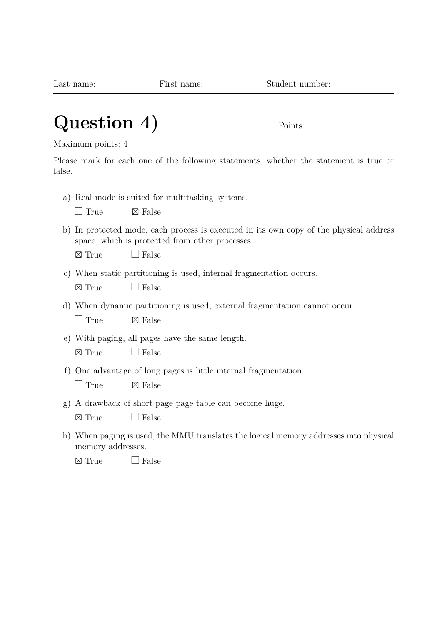# **Question 4)** Points: . . . . . . . . . . . . . . . . . . . . . .

Maximum points: 4

Please mark for each one of the following statements, whether the statement is true or false.

a) Real mode is suited for multitasking systems.

 $\Box$  True  $\boxtimes$  False

b) In protected mode, each process is executed in its own copy of the physical address space, which is protected from other processes.

 $\boxtimes$  True  $\Box$  False

- c) When static partitioning is used, internal fragmentation occurs.
	- $\boxtimes$  True  $\Box$  False
- d) When dynamic partitioning is used, external fragmentation cannot occur.

 $\Box$  True  $\boxtimes$  False

e) With paging, all pages have the same length.

f) One advantage of long pages is little internal fragmentation.

 $\Box$  True  $\boxtimes$  False

g) A drawback of short page page table can become huge.

 $\boxtimes$  True  $\Box$  False

h) When paging is used, the MMU translates the logical memory addresses into physical memory addresses.

 $\times$  True  $\Box$  False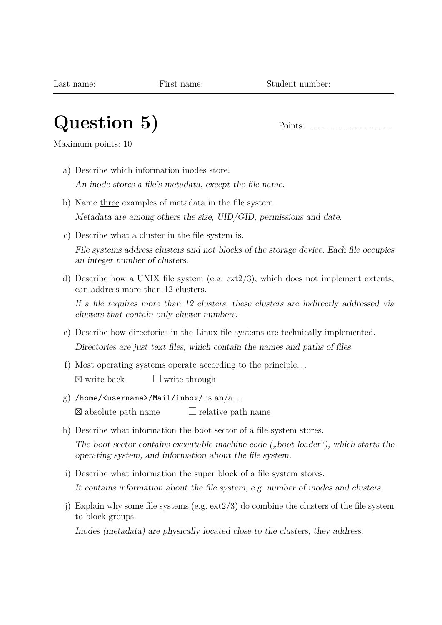# **Question 5)** Points: . . . . . . . . . . . . . . . . . . . . . .

Maximum points: 10

- a) Describe which information inodes store. An inode stores a file's metadata, except the file name.
- b) Name three examples of metadata in the file system. Metadata are among others the size, UID/GID, permissions and date.
- c) Describe what a cluster in the file system is. File systems address clusters and not blocks of the storage device. Each file occupies an integer number of clusters.
- d) Describe how a UNIX file system (e.g. ext2/3), which does not implement extents, can address more than 12 clusters.

If a file requires more than 12 clusters, these clusters are indirectly addressed via clusters that contain only cluster numbers.

- e) Describe how directories in the Linux file systems are technically implemented. Directories are just text files, which contain the names and paths of files.
- f) Most operating systems operate according to the principle. . .  $\boxtimes$  write-back  $\Box$  write-through
- g) /home/<username>/Mail/inbox/ is  $an/a$ ...  $\boxtimes$  absolute path name  $\Box$  relative path name
- h) Describe what information the boot sector of a file system stores.

The boot sector contains executable machine code  $($ "boot loader" $)$ , which starts the operating system, and information about the file system.

i) Describe what information the super block of a file system stores.

It contains information about the file system, e.g. number of inodes and clusters.

j) Explain why some file systems (e.g.  $ext{2/3}$ ) do combine the clusters of the file system to block groups.

Inodes (metadata) are physically located close to the clusters, they address.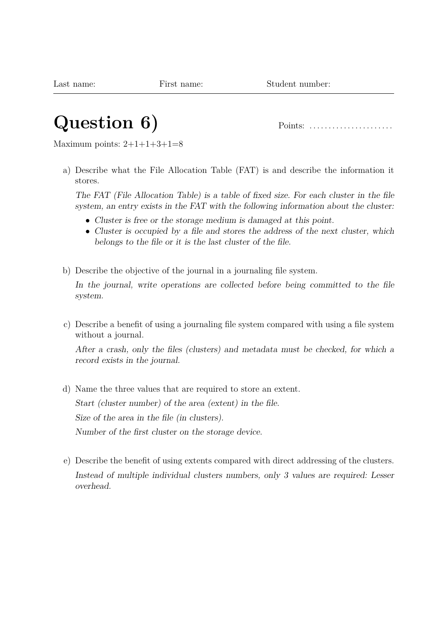# **Question 6)** Points: . . . . . . . . . . . . . . . . . . . . . .

Maximum points:  $2+1+1+3+1=8$ 

a) Describe what the File Allocation Table (FAT) is and describe the information it stores.

The FAT (File Allocation Table) is a table of fixed size. For each cluster in the file system, an entry exists in the FAT with the following information about the cluster:

- Cluster is free or the storage medium is damaged at this point.
- Cluster is occupied by a file and stores the address of the next cluster, which belongs to the file or it is the last cluster of the file.
- b) Describe the objective of the journal in a journaling file system.

In the journal, write operations are collected before being committed to the file system.

c) Describe a benefit of using a journaling file system compared with using a file system without a journal.

After a crash, only the files (clusters) and metadata must be checked, for which a record exists in the journal.

- d) Name the three values that are required to store an extent. Start (cluster number) of the area (extent) in the file. Size of the area in the file (in clusters). Number of the first cluster on the storage device.
- e) Describe the benefit of using extents compared with direct addressing of the clusters. Instead of multiple individual clusters numbers, only 3 values are required: Lesser overhead.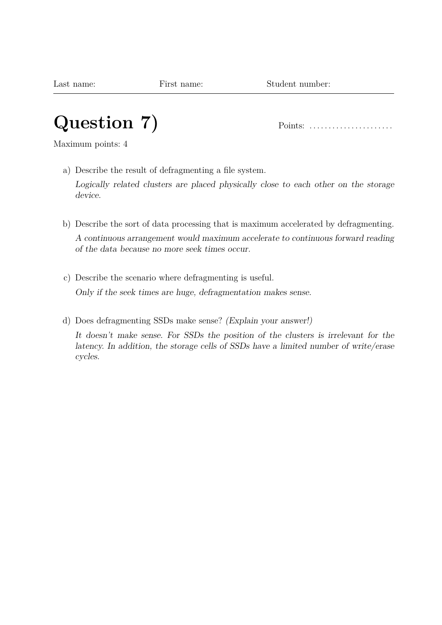# **Question 7)** Points: . . . . . . . . . . . . . . . . . . . . . .

Maximum points: 4

a) Describe the result of defragmenting a file system.

Logically related clusters are placed physically close to each other on the storage device.

- b) Describe the sort of data processing that is maximum accelerated by defragmenting. A continuous arrangement would maximum accelerate to continuous forward reading of the data because no more seek times occur.
- c) Describe the scenario where defragmenting is useful. Only if the seek times are huge, defragmentation makes sense.
- d) Does defragmenting SSDs make sense? (Explain your answer!) It doesn't make sense. For SSDs the position of the clusters is irrelevant for the latency. In addition, the storage cells of SSDs have a limited number of write/erase cycles.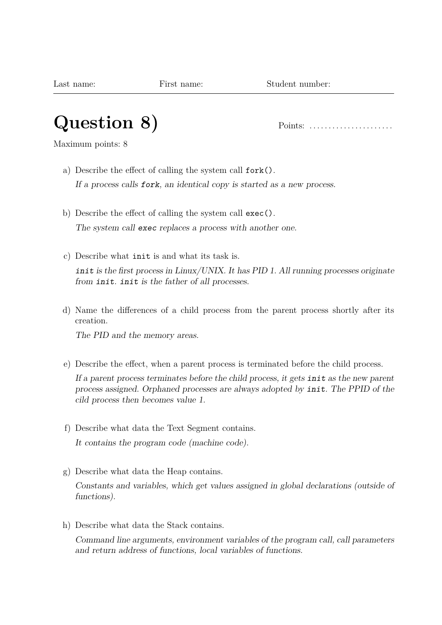# **Question 8)** Points: . . . . . . . . . . . . . . . . . . . . . .

Maximum points: 8

- a) Describe the effect of calling the system call fork(). If a process calls fork, an identical copy is started as a new process.
- b) Describe the effect of calling the system call exec(). The system call exec replaces a process with another one.
- c) Describe what init is and what its task is. init is the first process in Linux/UNIX. It has PID 1. All running processes originate from init. init is the father of all processes.
- d) Name the differences of a child process from the parent process shortly after its creation.

The PID and the memory areas.

e) Describe the effect, when a parent process is terminated before the child process.

If a parent process terminates before the child process, it gets init as the new parent process assigned. Orphaned processes are always adopted by init. The PPID of the cild process then becomes value 1.

- f) Describe what data the Text Segment contains. It contains the program code (machine code).
- g) Describe what data the Heap contains.

Constants and variables, which get values assigned in global declarations (outside of functions).

h) Describe what data the Stack contains.

Command line arguments, environment variables of the program call, call parameters and return address of functions, local variables of functions.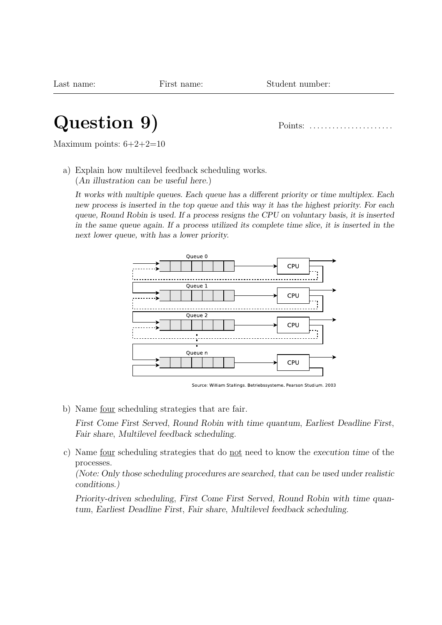#### **Question 9)** Points: . . . . . . . . . . . . . . . . . . . . . .

Maximum points:  $6+2+2=10$ 

a) Explain how multilevel feedback scheduling works. (An illustration can be useful here.)

It works with multiple queues. Each queue has a different priority or time multiplex. Each new process is inserted in the top queue and this way it has the highest priority. For each queue, Round Robin is used. If a process resigns the CPU on voluntary basis, it is inserted in the same queue again. If a process utilized its complete time slice, it is inserted in the next lower queue, with has a lower priority.



Source: William Stallings. Betriebssysteme. Pearson Studium. 2003

b) Name four scheduling strategies that are fair.

First Come First Served, Round Robin with time quantum, Earliest Deadline First, Fair share, Multilevel feedback scheduling.

c) Name four scheduling strategies that do not need to know the execution time of the processes.

(Note: Only those scheduling procedures are searched, that can be used under realistic conditions.)

Priority-driven scheduling, First Come First Served, Round Robin with time quantum, Earliest Deadline First, Fair share, Multilevel feedback scheduling.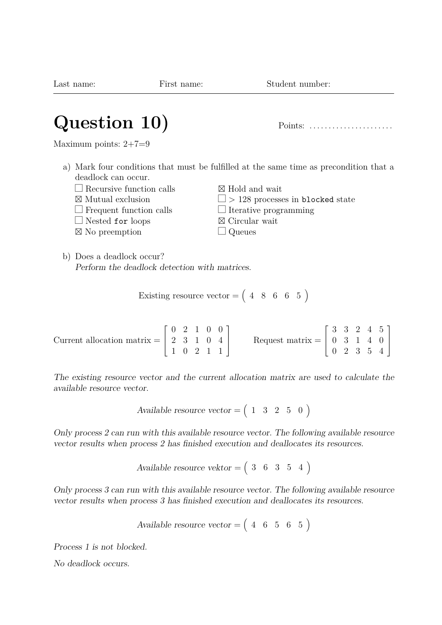| Question 10)                    | Points:                                                                                |
|---------------------------------|----------------------------------------------------------------------------------------|
| Maximum points: $2+7=9$         |                                                                                        |
| deadlock can occur.             | a) Mark four conditions that must be fulfilled at the same time as precondition that a |
| $\Box$ Recursive function calls | $\boxtimes$ Hold and wait                                                              |
| $\boxtimes$ Mutual exclusion    | $\Box$ > 128 processes in blocked state                                                |
| $\Box$ Frequent function calls  | $\Box$ Iterative programming                                                           |
| $\Box$ Nested for loops         | $\boxtimes$ Circular wait                                                              |

⊠ No preemption

b) Does a deadlock occur? Perform the deadlock detection with matrices.

Existing resource vector =  $(4 \ 8 \ 6 \ 6 \ 5)$ 

Current allocation matrix = 
$$
\begin{bmatrix} 0 & 2 & 1 & 0 & 0 \\ 2 & 3 & 1 & 0 & 4 \\ 1 & 0 & 2 & 1 & 1 \end{bmatrix}
$$
 Request matrix = 
$$
\begin{bmatrix} 3 & 3 & 2 & 4 & 5 \\ 0 & 3 & 1 & 4 & 0 \\ 0 & 2 & 3 & 5 & 4 \end{bmatrix}
$$

The existing resource vector and the current allocation matrix are used to calculate the available resource vector.

Available resource vector = 
$$
\begin{pmatrix} 1 & 3 & 2 & 5 & 0 \end{pmatrix}
$$

Only process 2 can run with this available resource vector. The following available resource vector results when process 2 has finished execution and deallocates its resources.

$$
Available\ resource\ vektor = \left(\begin{array}{cccc} 3 & 6 & 3 & 5 & 4 \end{array}\right)
$$

Only process 3 can run with this available resource vector. The following available resource vector results when process 3 has finished execution and deallocates its resources.

$$
Available\,\, resource\,\,vector=\left(\begin{array}{cccc} 4 & 6 & 5 & 6 & 5 \end{array}\right)
$$

Process 1 is not blocked.

No deadlock occurs.

Last name: First name: Student number:

 $\Box$  Queues